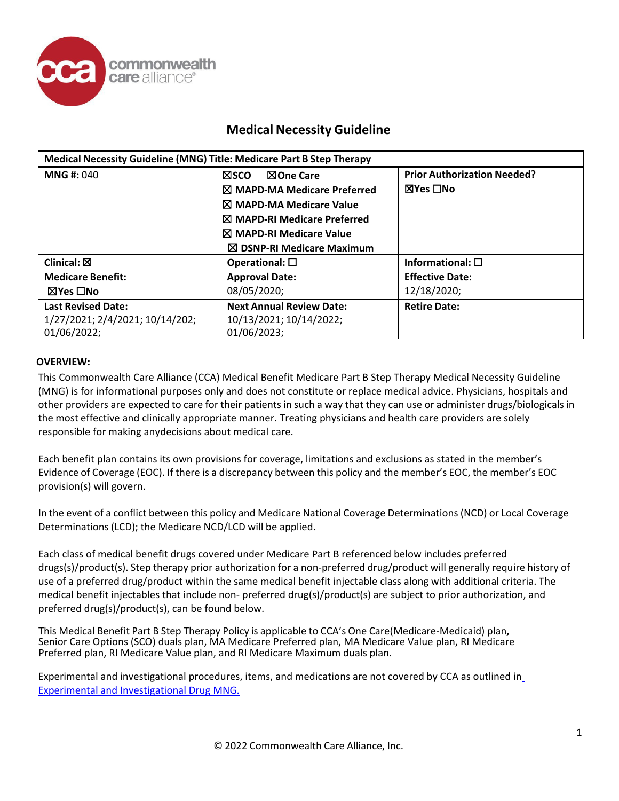

| Medical Necessity Guideline (MNG) Title: Medicare Part B Step Therapy |                                        |                                    |
|-----------------------------------------------------------------------|----------------------------------------|------------------------------------|
| <b>MNG#: 040</b>                                                      | ⊠One Care<br>l⊠sco                     | <b>Prior Authorization Needed?</b> |
|                                                                       | $\boxtimes$ MAPD-MA Medicare Preferred | ⊠Yes □No                           |
|                                                                       | I⊠ MAPD-MA Medicare Value              |                                    |
|                                                                       | $\boxtimes$ MAPD-RI Medicare Preferred |                                    |
|                                                                       | I⊠ MAPD-RI Medicare Value              |                                    |
|                                                                       | $\boxtimes$ DSNP-RI Medicare Maximum   |                                    |
| Clinical: $\boxtimes$                                                 | Operational: $\square$                 | Informational: $\square$           |
| <b>Medicare Benefit:</b>                                              | <b>Approval Date:</b>                  | <b>Effective Date:</b>             |
| ⊠Yes □No                                                              | 08/05/2020;                            | 12/18/2020;                        |
| <b>Last Revised Date:</b>                                             | <b>Next Annual Review Date:</b>        | <b>Retire Date:</b>                |
| 1/27/2021; 2/4/2021; 10/14/202;                                       | 10/13/2021; 10/14/2022;                |                                    |
| 01/06/2022;                                                           | 01/06/2023;                            |                                    |

### **OVERVIEW:**

This Commonwealth Care Alliance (CCA) Medical Benefit Medicare Part B Step Therapy Medical Necessity Guideline (MNG) is for informational purposes only and does not constitute or replace medical advice. Physicians, hospitals and other providers are expected to care for their patients in such a way that they can use or administer drugs/biologicals in the most effective and clinically appropriate manner. Treating physicians and health care providers are solely responsible for making anydecisions about medical care.

Each benefit plan contains its own provisions for coverage, limitations and exclusions as stated in the member's Evidence of Coverage (EOC). If there is a discrepancy between this policy and the member's EOC, the member's EOC provision(s) will govern.

In the event of a conflict between this policy and Medicare National Coverage Determinations (NCD) or Local Coverage Determinations (LCD); the Medicare NCD/LCD will be applied.

Each class of medical benefit drugs covered under Medicare Part B referenced below includes preferred drugs(s)/product(s). Step therapy prior authorization for a non-preferred drug/product will generally require history of use of a preferred drug/product within the same medical benefit injectable class along with additional criteria. The medical benefit injectables that include non- preferred drug(s)/product(s) are subject to prior authorization, and preferred drug(s)/product(s), can be found below.

This Medical Benefit Part <sup>B</sup> Step Therapy Policy is applicable to CCA's One Care(Medicare-Medicaid) plan**,** Senior Care Options (SCO) duals plan, MA Medicare Preferred plan, MA Medicare Value plan, RI Medicare Preferred plan, RI Medicare Value plan, and RI Medicare Maximum duals plan.

Experimental and investigational procedures, items, and medications are not covered by CCA as outlined in Experimental [and Investigational](https://www.commonwealthcarealliance.org/getmedia/2c83c2d2-4378-4ce7-9bac-342d1c95da31/Experimental-and-Investigational-Services-MNG-010-(002)) Drug MNG.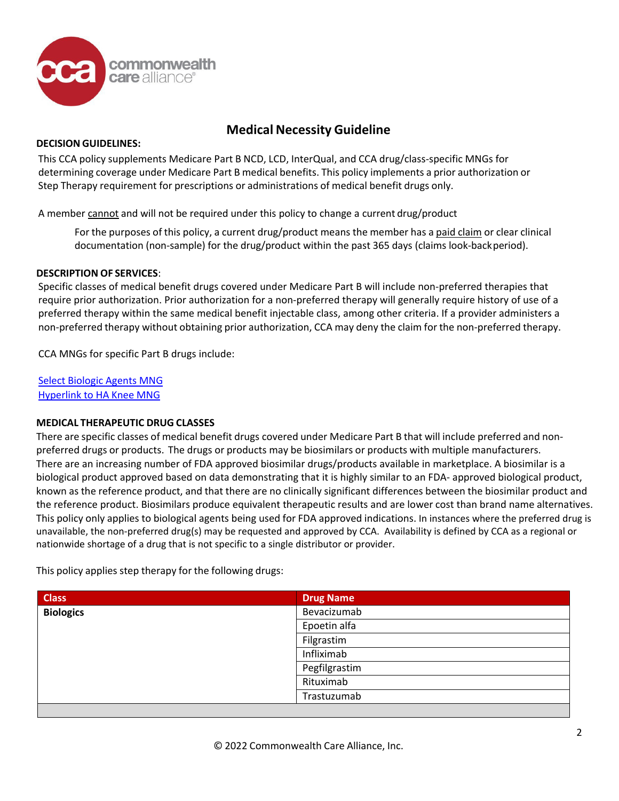

### **DECISION GUIDELINES:**

This CCA policy supplements Medicare Part B NCD, LCD, InterQual, and CCA drug/class-specific MNGs for determining coverage under Medicare Part B medical benefits. This policy implements a prior authorization or Step Therapy requirement for prescriptions or administrations of medical benefit drugs only.

A member cannot and will not be required under this policy to change a current drug/product

For the purposes of this policy, a current drug/product means the member has a paid claim or clear clinical documentation (non-sample) for the drug/product within the past 365 days (claims look-backperiod).

### **DESCRIPTION OF SERVICES**:

Specific classes of medical benefit drugs covered under Medicare Part B will include non-preferred therapies that require prior authorization. Prior authorization for a non-preferred therapy will generally require history of use of a preferred therapy within the same medical benefit injectable class, among other criteria. If a provider administers a non-preferred therapy without obtaining prior authorization, CCA may deny the claim for the non-preferred therapy.

CCA MNGs for specific Part B drugs include:

Select Biologic [Agents MNG](https://www.commonwealthcarealliance.org/ma/wp-content/uploads/2021/01/Select-Biologic-Agents-MNG-015-3.pdf) [Hyperlink](https://www.commonwealthcarealliance.org/ma/wp-content/uploads/2021/04/Hyaluronic-acid-knee-injections-MNG-58-2.pdf) to HA Knee MNG

### **MEDICAL THERAPEUTIC DRUG CLASSES**

There are specific classes of medical benefit drugs covered under Medicare Part B that will include preferred and nonpreferred drugs or products. The drugs or products may be biosimilars or products with multiple manufacturers. There are an increasing number of FDA approved biosimilar drugs/products available in marketplace. A biosimilar is a biological product approved based on data demonstrating that it is highly similar to an FDA- approved biological product, known as the reference product, and that there are no clinically significant differences between the biosimilar product and the reference product. Biosimilars produce equivalent therapeutic results and are lower cost than brand name alternatives. This policy only applies to biological agents being used for FDA approved indications. In instances where the preferred drug is unavailable, the non-preferred drug(s) may be requested and approved by CCA. Availability is defined by CCA as a regional or nationwide shortage of a drug that is not specific to a single distributor or provider.

This policy applies step therapy for the following drugs:

| <b>Class</b>     | <b>Drug Name</b> |
|------------------|------------------|
| <b>Biologics</b> | Bevacizumab      |
|                  | Epoetin alfa     |
|                  | Filgrastim       |
|                  | Infliximab       |
|                  | Pegfilgrastim    |
|                  | Rituximab        |
|                  | Trastuzumab      |
|                  |                  |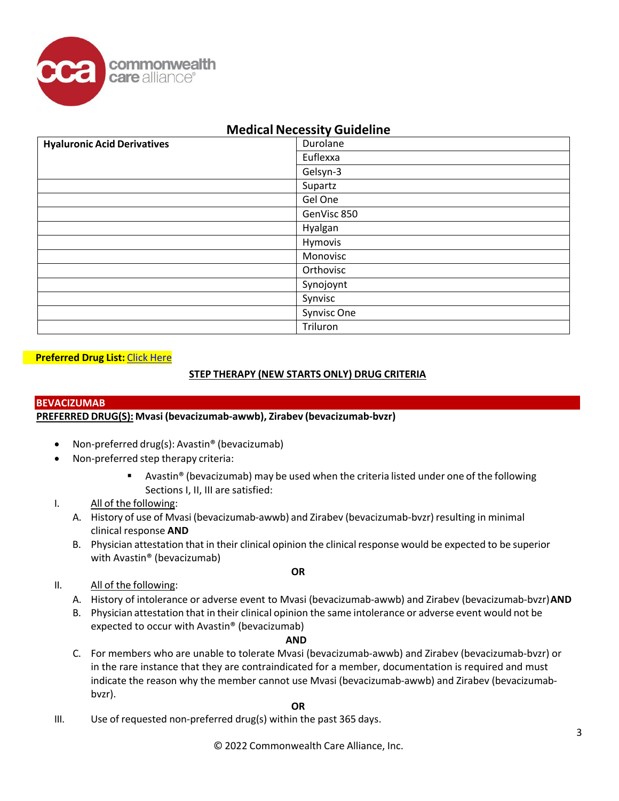

| <b>Hyaluronic Acid Derivatives</b> | Durolane    |
|------------------------------------|-------------|
|                                    | Euflexxa    |
|                                    | Gelsyn-3    |
|                                    | Supartz     |
|                                    | Gel One     |
|                                    | GenVisc 850 |
|                                    | Hyalgan     |
|                                    | Hymovis     |
|                                    | Monovisc    |
|                                    | Orthovisc   |
|                                    | Synojoynt   |
|                                    | Synvisc     |
|                                    | Synvisc One |
|                                    | Triluron    |

### **Preferred Drug List:** Click [Here](https://www.commonwealthcarealliance.org/ma/wp-content/uploads/2021/01/Medicare_PartB_StepTherapy_PreferredDrugList.pdf)

### **STEP THERAPY (NEW STARTS ONLY) DRUG CRITERIA**

### **BEVACIZUMAB**

### **PREFERRED DRUG(S): Mvasi (bevacizumab-awwb), Zirabev (bevacizumab-bvzr)**

- Non-preferred drug(s): Avastin® (bevacizumab)
- Non-preferred step therapy criteria:
	- Avastin<sup>®</sup> (bevacizumab) may be used when the criteria listed under one of the following Sections I, II, III are satisfied:

### I. All of the following:

- A. History of use of Mvasi (bevacizumab-awwb) and Zirabev (bevacizumab-bvzr) resulting in minimal clinical response **AND**
- B. Physician attestation that in their clinical opinion the clinical response would be expected to be superior with Avastin® (bevacizumab)
- II. All of the following:
- **OR**
- A. History of intolerance or adverse event to Mvasi (bevacizumab-awwb) and Zirabev (bevacizumab-bvzr)**AND**
- B. Physician attestation that in their clinical opinion the same intolerance or adverse event would not be expected to occur with Avastin® (bevacizumab)

### **AND**

C. For members who are unable to tolerate Mvasi (bevacizumab-awwb) and Zirabev (bevacizumab-bvzr) or in the rare instance that they are contraindicated for a member, documentation is required and must indicate the reason why the member cannot use Mvasi (bevacizumab-awwb) and Zirabev (bevacizumabbvzr).

### **OR**

III. Use of requested non-preferred drug(s) within the past 365 days.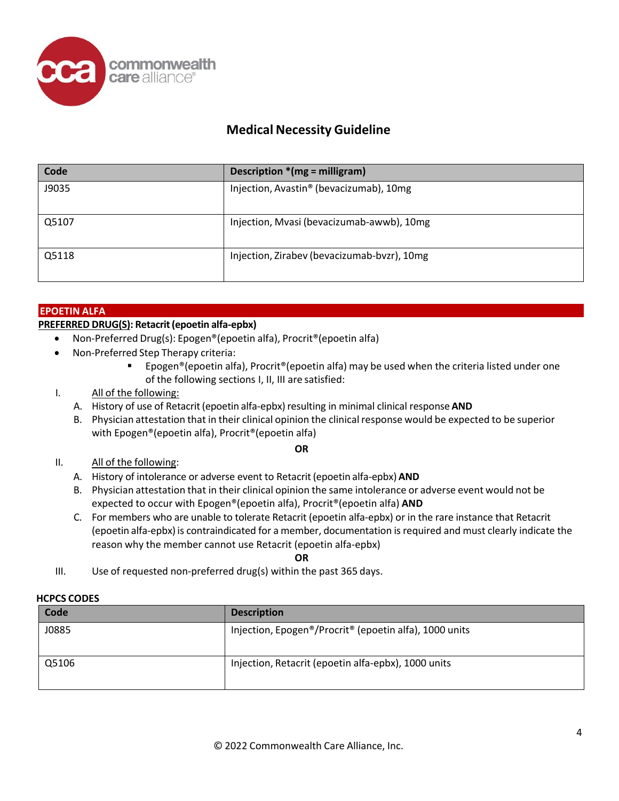

| Code  | Description $*(mg =$ milligram)             |
|-------|---------------------------------------------|
| J9035 | Injection, Avastin® (bevacizumab), 10mg     |
| Q5107 | Injection, Mvasi (bevacizumab-awwb), 10mg   |
| Q5118 | Injection, Zirabev (bevacizumab-bvzr), 10mg |

### **EPOETIN ALFA**

### **PREFERRED DRUG(S): Retacrit(epoetin alfa-epbx)**

- Non-Preferred Drug(s): Epogen®(epoetin alfa), Procrit®(epoetin alfa)
- Non-Preferred Step Therapy criteria:
	- Epogen®(epoetin alfa), Procrit®(epoetin alfa) may be used when the criteria listed under one of the following sections I, II, III are satisfied:
- I. All of the following:
	- A. History of use of Retacrit (epoetin alfa-epbx) resulting in minimal clinical response AND
	- B. Physician attestation that in their clinical opinion the clinicalresponse would be expected to be superior with Epogen®(epoetin alfa), Procrit®(epoetin alfa)

### **OR**

- II. All of the following:
	- A. History of intolerance or adverse event to Retacrit(epoetin alfa-epbx) **AND**
	- B. Physician attestation that in their clinical opinion the same intolerance or adverse event would not be expected to occur with Epogen®(epoetin alfa), Procrit®(epoetin alfa) **AND**
	- C. For members who are unable to tolerate Retacrit (epoetin alfa-epbx) or in the rare instance that Retacrit (epoetin alfa-epbx) is contraindicated for a member, documentation isrequired and must clearly indicate the reason why the member cannot use Retacrit (epoetin alfa-epbx)

**OR**

III. Use of requested non-preferred drug(s) within the past 365 days.

### **HCPCS CODES**

| .     |                                                        |
|-------|--------------------------------------------------------|
| Code  | <b>Description</b>                                     |
| J0885 | Injection, Epogen®/Procrit® (epoetin alfa), 1000 units |
| Q5106 | Injection, Retacrit (epoetin alfa-epbx), 1000 units    |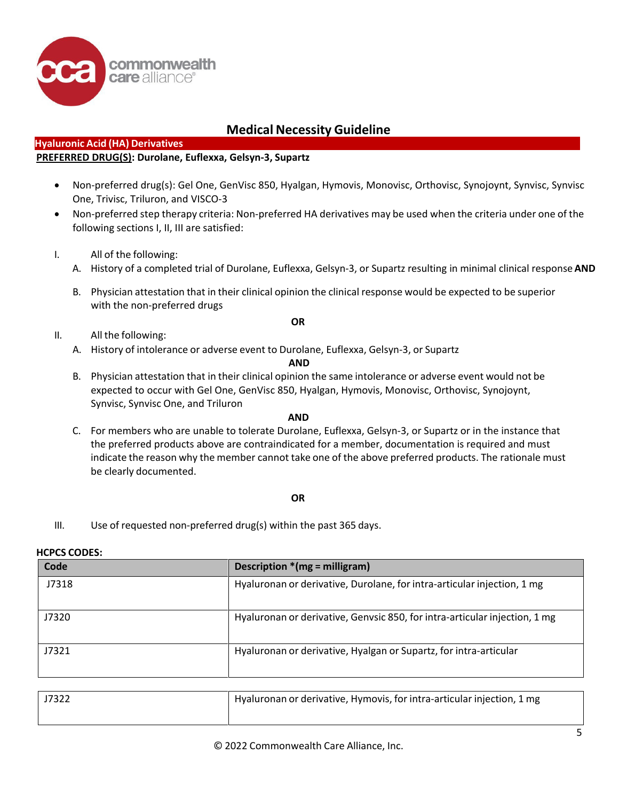

### **Hyaluronic Acid (HA) Derivatives**

### **PREFERRED DRUG(S): Durolane, Euflexxa, Gelsyn-3, Supartz**

- Non-preferred drug(s): Gel One, GenVisc 850, Hyalgan, Hymovis, Monovisc, Orthovisc, Synojoynt, Synvisc, Synvisc One, Trivisc, Triluron, and VISCO-3
- Non-preferred step therapy criteria: Non-preferred HA derivatives may be used when the criteria under one of the following sections I, II, III are satisfied:
- I. All of the following:
	- A. History of a completed trial of Durolane, Euflexxa, Gelsyn-3, or Supartz resulting in minimal clinical response**AND**
	- B. Physician attestation that in their clinical opinion the clinical response would be expected to be superior with the non-preferred drugs
		- **OR**

- II. All the following:
	- A. History of intolerance or adverse event to Durolane, Euflexxa, Gelsyn-3, or Supartz

### **AND**

B. Physician attestation that in their clinical opinion the same intolerance or adverse event would not be expected to occur with Gel One, GenVisc 850, Hyalgan, Hymovis, Monovisc, Orthovisc, Synojoynt, Synvisc, Synvisc One, and Triluron

### **AND**

C. For members who are unable to tolerate Durolane, Euflexxa, Gelsyn-3, or Supartz or in the instance that the preferred products above are contraindicated for a member, documentation is required and must indicate the reason why the member cannot take one of the above preferred products. The rationale must be clearly documented.

### **OR**

III. Use of requested non-preferred drug(s) within the past 365 days.

### **HCPCS CODES:**

| Code  | Description * (mg = milligram)                                             |
|-------|----------------------------------------------------------------------------|
| J7318 | Hyaluronan or derivative, Durolane, for intra-articular injection, 1 mg    |
| J7320 | Hyaluronan or derivative, Genvsic 850, for intra-articular injection, 1 mg |
| J7321 | Hyaluronan or derivative, Hyalgan or Supartz, for intra-articular          |

| J7322 | Hyaluronan or derivative, Hymovis, for intra-articular injection, 1 mg |
|-------|------------------------------------------------------------------------|
|       |                                                                        |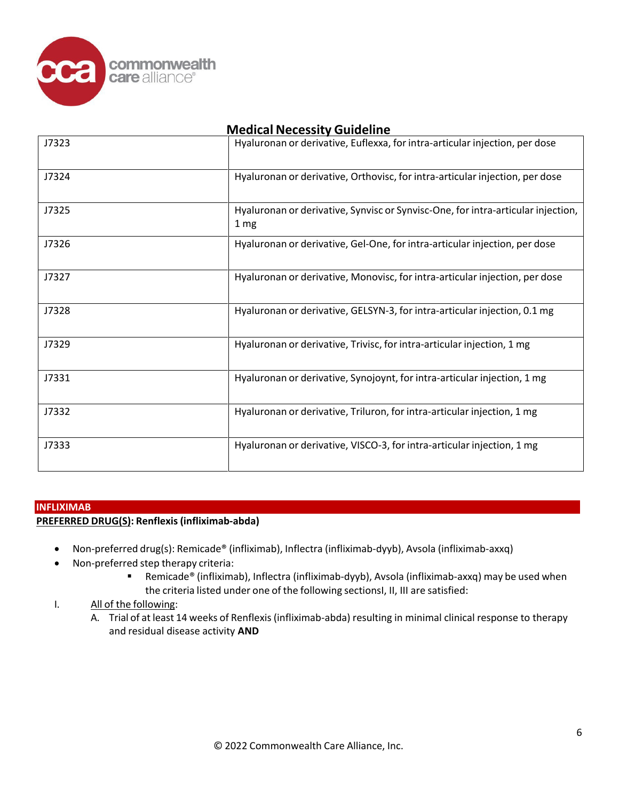

| J7323 | Hyaluronan or derivative, Euflexxa, for intra-articular injection, per dose                         |
|-------|-----------------------------------------------------------------------------------------------------|
| J7324 | Hyaluronan or derivative, Orthovisc, for intra-articular injection, per dose                        |
| J7325 | Hyaluronan or derivative, Synvisc or Synvisc-One, for intra-articular injection,<br>1 <sub>mg</sub> |
| J7326 | Hyaluronan or derivative, Gel-One, for intra-articular injection, per dose                          |
| J7327 | Hyaluronan or derivative, Monovisc, for intra-articular injection, per dose                         |
| J7328 | Hyaluronan or derivative, GELSYN-3, for intra-articular injection, 0.1 mg                           |
| J7329 | Hyaluronan or derivative, Trivisc, for intra-articular injection, 1 mg                              |
| J7331 | Hyaluronan or derivative, Synojoynt, for intra-articular injection, 1 mg                            |
| J7332 | Hyaluronan or derivative, Triluron, for intra-articular injection, 1 mg                             |
| J7333 | Hyaluronan or derivative, VISCO-3, for intra-articular injection, 1 mg                              |

### **INFLIXIMAB**

### **PREFERRED DRUG(S): Renflexis(infliximab-abda)**

- Non-preferred drug(s): Remicade® (infliximab), Inflectra (infliximab-dyyb), Avsola (infliximab-axxq)
- Non-preferred step therapy criteria:
	- Remicade® (infliximab), Inflectra (infliximab-dyyb), Avsola (infliximab-axxq) may be used when the criteria listed under one of the following sectionsI, II, III are satisfied:
- I. All of the following:
	- A. Trial of at least 14 weeks of Renflexis (infliximab-abda) resulting in minimal clinical response to therapy and residual disease activity **AND**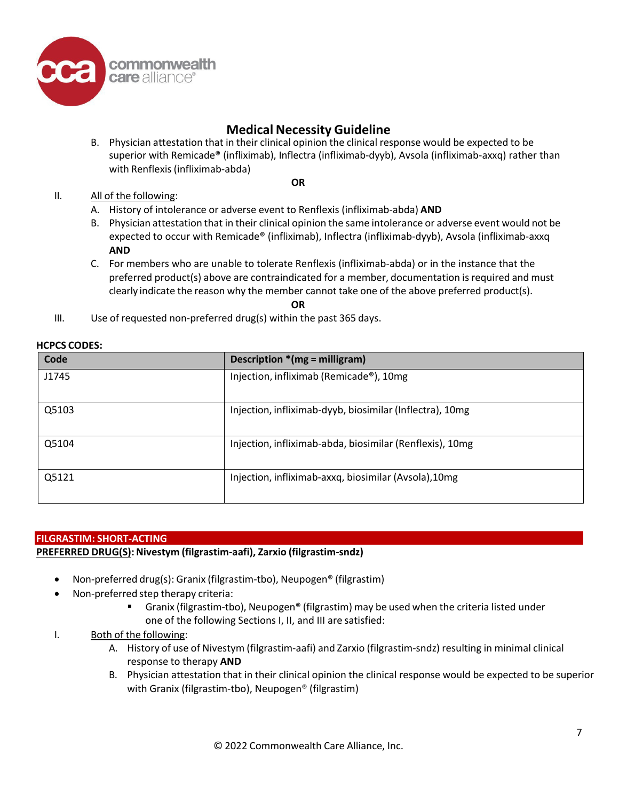

**OR**

B. Physician attestation that in their clinical opinion the clinical response would be expected to be superior with Remicade® (infliximab), Inflectra (infliximab-dyyb), Avsola (infliximab-axxq) rather than with Renflexis(infliximab-abda)

### II. All of the following:

- A. History of intolerance or adverse event to Renflexis (infliximab-abda) **AND**
- B. Physician attestation that in their clinical opinion the same intolerance or adverse event would not be expected to occur with Remicade® (infliximab), Inflectra (infliximab-dyyb), Avsola (infliximab-axxq **AND**
- C. For members who are unable to tolerate Renflexis (infliximab-abda) or in the instance that the preferred product(s) above are contraindicated for a member, documentation is required and must clearly indicate the reason why the member cannot take one of the above preferred product(s).

**OR**

III. Use of requested non-preferred drug(s) within the past 365 days.

| Code  | Description *(mg = milligram)                            |
|-------|----------------------------------------------------------|
| J1745 | Injection, infliximab (Remicade®), 10mg                  |
| Q5103 | Injection, infliximab-dyyb, biosimilar (Inflectra), 10mg |
| Q5104 | Injection, infliximab-abda, biosimilar (Renflexis), 10mg |
| Q5121 | Injection, infliximab-axxq, biosimilar (Avsola), 10mg    |

### **FILGRASTIM: SHORT-ACTING**

### **PREFERRED DRUG(S): Nivestym (filgrastim-aafi), Zarxio (filgrastim-sndz)**

- Non-preferred drug(s): Granix (filgrastim-tbo), Neupogen® (filgrastim)
- Non-preferred step therapy criteria:
	- Granix (filgrastim-tbo), Neupogen® (filgrastim) may be used when the criteria listed under one of the following Sections I, II, and III are satisfied:
- I. Both of the following:
	- A. History of use of Nivestym (filgrastim-aafi) and Zarxio (filgrastim-sndz) resulting in minimal clinical response to therapy **AND**
	- B. Physician attestation that in their clinical opinion the clinical response would be expected to be superior with Granix (filgrastim-tbo), Neupogen® (filgrastim)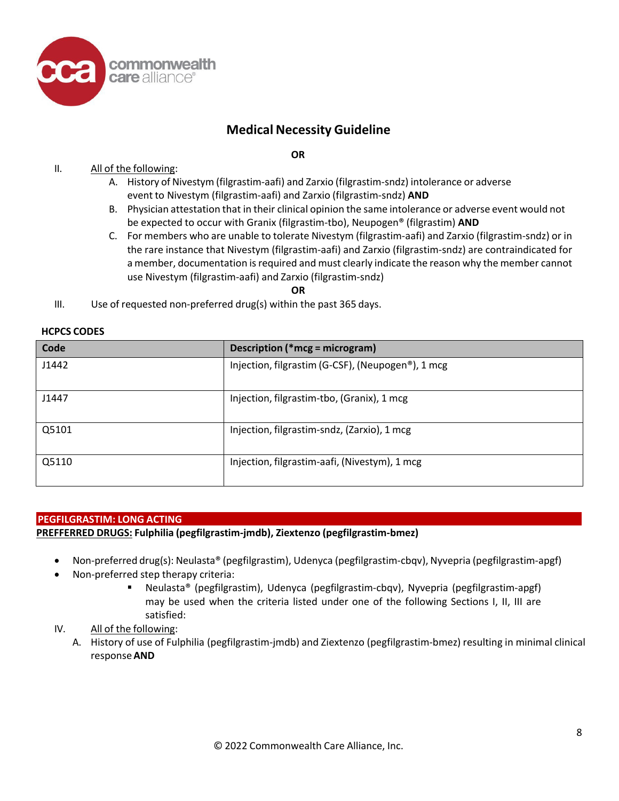

**OR**

### II. All of the following:

- A. History of Nivestym (filgrastim-aafi) and Zarxio (filgrastim-sndz) intolerance or adverse event to Nivestym (filgrastim-aafi) and Zarxio (filgrastim-sndz) **AND**
- B. Physician attestation that in their clinical opinion the same intolerance or adverse event would not be expected to occur with Granix (filgrastim-tbo), Neupogen® (filgrastim) **AND**
- C. For members who are unable to tolerate Nivestym (filgrastim-aafi) and Zarxio (filgrastim-sndz) or in the rare instance that Nivestym (filgrastim-aafi) and Zarxio (filgrastim-sndz) are contraindicated for a member, documentation is required and must clearly indicate the reason why the member cannot use Nivestym (filgrastim-aafi) and Zarxio (filgrastim-sndz)

**OR**

III. Use of requested non-preferred drug(s) within the past 365 days.

| Code  | Description (*mcg = microgram)                                 |
|-------|----------------------------------------------------------------|
| J1442 | Injection, filgrastim (G-CSF), (Neupogen <sup>®</sup> ), 1 mcg |
| J1447 | Injection, filgrastim-tbo, (Granix), 1 mcg                     |
| Q5101 | Injection, filgrastim-sndz, (Zarxio), 1 mcg                    |
| Q5110 | Injection, filgrastim-aafi, (Nivestym), 1 mcg                  |

### **HCPCS CODES**

### **PEGFILGRASTIM: LONG ACTING**

### **PREFFERRED DRUGS: Fulphilia (pegfilgrastim-jmdb), Ziextenzo (pegfilgrastim-bmez)**

- Non-preferred drug(s): Neulasta® (pegfilgrastim), Udenyca (pegfilgrastim-cbqv), Nyvepria (pegfilgrastim-apgf)
- Non-preferred step therapy criteria:
	- Neulasta® (pegfilgrastim), Udenyca (pegfilgrastim-cbqv), Nyvepria (pegfilgrastim-apgf) may be used when the criteria listed under one of the following Sections I, II, III are satisfied:
- IV. All of the following:
	- A. History of use of Fulphilia (pegfilgrastim-jmdb) and Ziextenzo (pegfilgrastim-bmez) resulting in minimal clinical response**AND**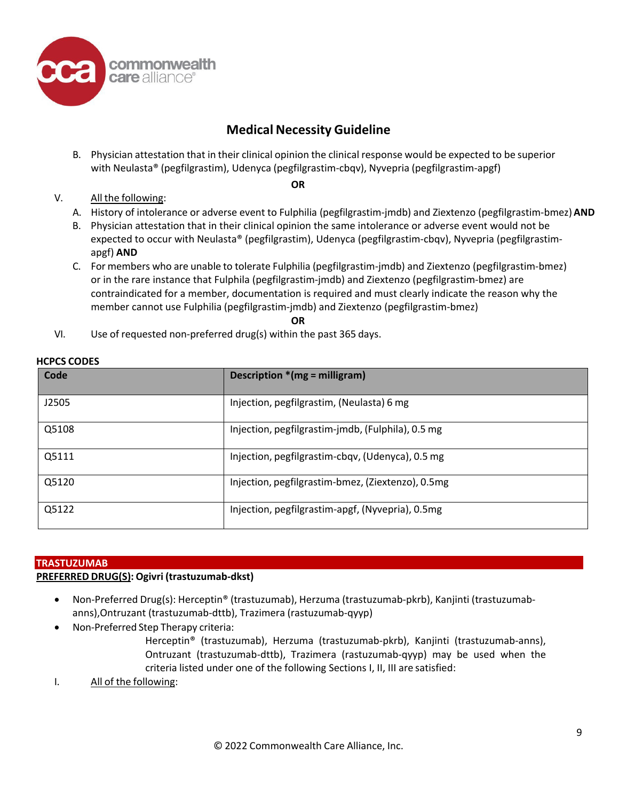

B. Physician attestation that in their clinical opinion the clinical response would be expected to be superior with Neulasta® (pegfilgrastim), Udenyca (pegfilgrastim-cbqv), Nyvepria (pegfilgrastim-apgf)

**OR**

### V. All the following:

- A. History of intolerance or adverse event to Fulphilia (pegfilgrastim-jmdb) and Ziextenzo (pegfilgrastim-bmez)**AND**
- B. Physician attestation that in their clinical opinion the same intolerance or adverse event would not be expected to occur with Neulasta® (pegfilgrastim), Udenyca (pegfilgrastim-cbqv), Nyvepria (pegfilgrastimapgf) **AND**
- C. For members who are unable to tolerate Fulphilia (pegfilgrastim-jmdb) and Ziextenzo (pegfilgrastim-bmez) or in the rare instance that Fulphila (pegfilgrastim-jmdb) and Ziextenzo (pegfilgrastim-bmez) are contraindicated for a member, documentation is required and must clearly indicate the reason why the member cannot use Fulphilia (pegfilgrastim-jmdb) and Ziextenzo (pegfilgrastim-bmez)

**OR**

VI. Use of requested non-preferred drug(s) within the past 365 days.

| Code  | Description $*(mg = milligram)$                   |
|-------|---------------------------------------------------|
| J2505 | Injection, pegfilgrastim, (Neulasta) 6 mg         |
| Q5108 | Injection, pegfilgrastim-jmdb, (Fulphila), 0.5 mg |
| Q5111 | Injection, pegfilgrastim-cbqv, (Udenyca), 0.5 mg  |
| Q5120 | Injection, pegfilgrastim-bmez, (Ziextenzo), 0.5mg |
| Q5122 | Injection, pegfilgrastim-apgf, (Nyvepria), 0.5mg  |

### **HCPCS CODES**

### **TRASTUZUMAB**

### **PREFERRED DRUG(S): Ogivri (trastuzumab-dkst)**

- Non-Preferred Drug(s): Herceptin® (trastuzumab), Herzuma (trastuzumab-pkrb), Kanjinti (trastuzumabanns),Ontruzant (trastuzumab-dttb), Trazimera (rastuzumab-qyyp)
- Non-Preferred Step Therapy criteria:

Herceptin® (trastuzumab), Herzuma (trastuzumab-pkrb), Kanjinti (trastuzumab-anns), Ontruzant (trastuzumab-dttb), Trazimera (rastuzumab-qyyp) may be used when the criteria listed under one of the following Sections I, II, III are satisfied:

I. All of the following: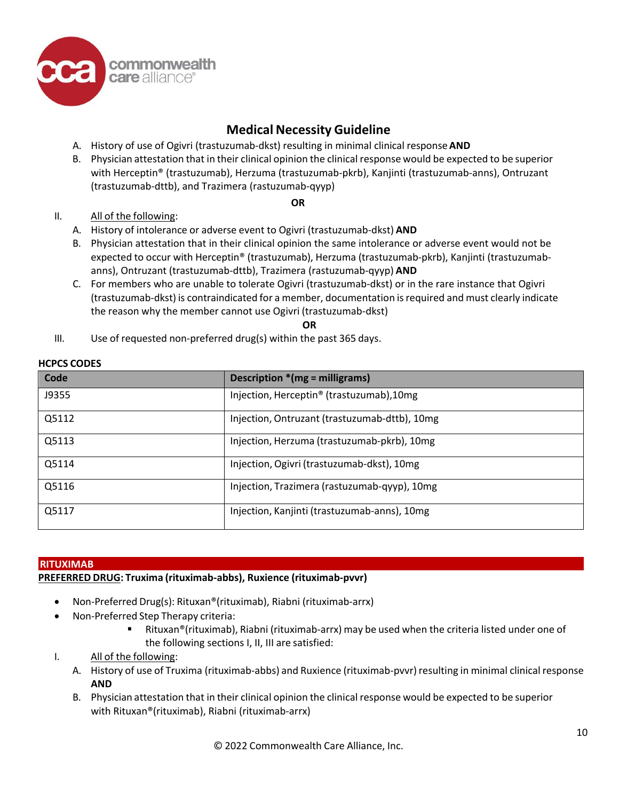

- A. History of use of Ogivri (trastuzumab-dkst) resulting in minimal clinical response**AND**
- B. Physician attestation that in their clinical opinion the clinical response would be expected to be superior with Herceptin® (trastuzumab), Herzuma (trastuzumab-pkrb), Kanjinti (trastuzumab-anns), Ontruzant (trastuzumab-dttb), and Trazimera (rastuzumab-qyyp)

### **OR**

### II. All of the following:

- A. History of intolerance or adverse event to Ogivri (trastuzumab-dkst) **AND**
- B. Physician attestation that in their clinical opinion the same intolerance or adverse event would not be expected to occur with Herceptin® (trastuzumab), Herzuma (trastuzumab-pkrb), Kanjinti (trastuzumabanns), Ontruzant (trastuzumab-dttb), Trazimera (rastuzumab-qyyp) **AND**
- C. For members who are unable to tolerate Ogivri (trastuzumab-dkst) or in the rare instance that Ogivri (trastuzumab-dkst) is contraindicated for a member, documentation isrequired and must clearly indicate the reason why the member cannot use Ogivri (trastuzumab-dkst)

**OR**

III. Use of requested non-preferred drug(s) within the past 365 days.

### **HCPCS CODES**

| Code  | Description * (mg = milligrams)                       |
|-------|-------------------------------------------------------|
| J9355 | Injection, Herceptin <sup>®</sup> (trastuzumab), 10mg |
| Q5112 | Injection, Ontruzant (trastuzumab-dttb), 10mg         |
| Q5113 | Injection, Herzuma (trastuzumab-pkrb), 10mg           |
| Q5114 | Injection, Ogivri (trastuzumab-dkst), 10mg            |
| Q5116 | Injection, Trazimera (rastuzumab-qyyp), 10mg          |
| Q5117 | Injection, Kanjinti (trastuzumab-anns), 10mg          |

### **RITUXIMAB**

### **PREFERRED DRUG: Truxima (rituximab-abbs), Ruxience (rituximab-pvvr)**

- Non-Preferred Drug(s): Rituxan®(rituximab), Riabni (rituximab-arrx)
- Non-Preferred Step Therapy criteria:
	- Rituxan®(rituximab), Riabni (rituximab-arrx) may be used when the criteria listed under one of the following sections I, II, III are satisfied:

### I. All of the following:

- A. History of use of Truxima (rituximab-abbs) and Ruxience (rituximab-pvvr) resulting in minimal clinical response **AND**
- B. Physician attestation that in their clinical opinion the clinical response would be expected to be superior with Rituxan®(rituximab), Riabni (rituximab-arrx)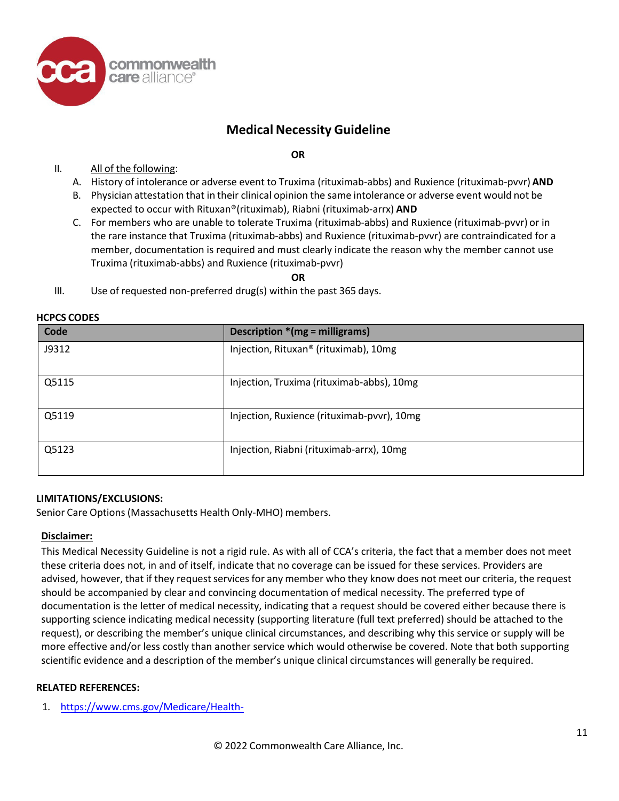

### **OR**

- II. All of the following:
	- A. History of intolerance or adverse event to Truxima (rituximab-abbs) and Ruxience (rituximab-pvvr) **AND**
	- B. Physician attestation that in their clinical opinion the same intolerance or adverse event would not be expected to occur with Rituxan®(rituximab), Riabni (rituximab-arrx) **AND**
	- C. For members who are unable to tolerate Truxima (rituximab-abbs) and Ruxience (rituximab-pvvr) or in the rare instance that Truxima (rituximab-abbs) and Ruxience (rituximab-pvvr) are contraindicated for a member, documentation is required and must clearly indicate the reason why the member cannot use Truxima (rituximab-abbs) and Ruxience (rituximab-pvvr)

**OR**

III. Use of requested non-preferred drug(s) within the past 365 days.

| Code  | Description * (mg = milligrams)            |
|-------|--------------------------------------------|
| J9312 | Injection, Rituxan® (rituximab), 10mg      |
| Q5115 | Injection, Truxima (rituximab-abbs), 10mg  |
| Q5119 | Injection, Ruxience (rituximab-pvvr), 10mg |
| Q5123 | Injection, Riabni (rituximab-arrx), 10mg   |

### **HCPCS CODES**

### **LIMITATIONS/EXCLUSIONS:**

Senior Care Options (Massachusetts Health Only-MHO) members.

### **Disclaimer:**

This Medical Necessity Guideline is not a rigid rule. As with all of CCA's criteria, the fact that a member does not meet these criteria does not, in and of itself, indicate that no coverage can be issued for these services. Providers are advised, however, that if they request services for any member who they know does not meet our criteria, the request should be accompanied by clear and convincing documentation of medical necessity. The preferred type of documentation is the letter of medical necessity, indicating that a request should be covered either because there is supporting science indicating medical necessity (supporting literature (full text preferred) should be attached to the request), or describing the member's unique clinical circumstances, and describing why this service or supply will be more effective and/or less costly than another service which would otherwise be covered. Note that both supporting scientific evidence and a description of the member's unique clinical circumstances will generally be required.

### **RELATED REFERENCES:**

1. [https://www.cms.gov/Medicare/Health-](https://www.cms.gov/Medicare/Health-Plans/HealthPlansGenInfo/Downloads/MA_Step_Therapy_HPMS_Memo_8_7_2018.pdf)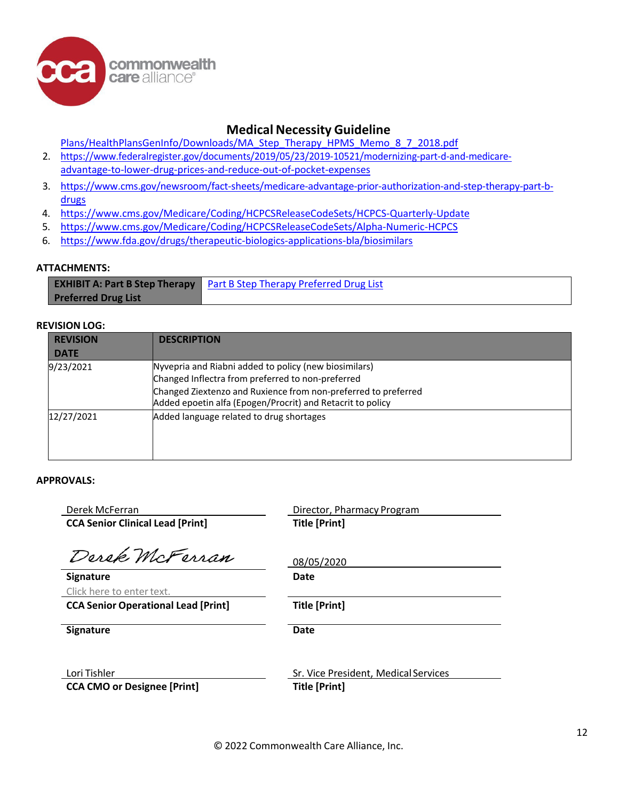commonwealth care alliance®

### **Medical Necessity Guideline**

[Plans/HealthPlansGenInfo/Downloads/MA\\_Step\\_Therapy\\_HPMS\\_Memo\\_8\\_7\\_2018.pdf](https://www.cms.gov/Medicare/Health-Plans/HealthPlansGenInfo/Downloads/MA_Step_Therapy_HPMS_Memo_8_7_2018.pdf)

- 2. [https://www.federalregister.gov/documents/2019/05/23/2019-10521/modernizing-part-d-and-medicare](https://www.federalregister.gov/documents/2019/05/23/2019-10521/modernizing-part-d-and-medicare-advantage-to-lower-drug-prices-and-reduce-out-of-pocket-expenses)[advantage-to-lower-drug-prices-and-reduce-out-of-pocket-expenses](https://www.federalregister.gov/documents/2019/05/23/2019-10521/modernizing-part-d-and-medicare-advantage-to-lower-drug-prices-and-reduce-out-of-pocket-expenses)
- 3. [https://www.cms.gov/newsroom/fact-sheets/medicare-advantage-prior-authorization-and-step-therapy-part-b](https://www.cms.gov/newsroom/fact-sheets/medicare-advantage-prior-authorization-and-step-therapy-part-b-drugs)[drugs](https://www.cms.gov/newsroom/fact-sheets/medicare-advantage-prior-authorization-and-step-therapy-part-b-drugs)
- 4. <https://www.cms.gov/Medicare/Coding/HCPCSReleaseCodeSets/HCPCS-Quarterly-Update>
- 5. <https://www.cms.gov/Medicare/Coding/HCPCSReleaseCodeSets/Alpha-Numeric-HCPCS>
- 6. <https://www.fda.gov/drugs/therapeutic-biologics-applications-bla/biosimilars>

### **ATTACHMENTS:**

**EXHIBIT A: Part B Step Therapy Preferred Drug List** Part B Step Therapy Preferred Drug List

### **REVISION LOG:**

| <b>REVISION</b><br><b>DATE</b> | <b>DESCRIPTION</b>                                                                                                                                                                                                                         |
|--------------------------------|--------------------------------------------------------------------------------------------------------------------------------------------------------------------------------------------------------------------------------------------|
| 9/23/2021                      | Nyvepria and Riabni added to policy (new biosimilars)<br>Changed Inflectra from preferred to non-preferred<br>Changed Ziextenzo and Ruxience from non-preferred to preferred<br>Added epoetin alfa (Epogen/Procrit) and Retacrit to policy |
| 12/27/2021                     | Added language related to drug shortages                                                                                                                                                                                                   |

### **APPROVALS:**

| Derek McFerran                             | Director, Pharmacy Program           |
|--------------------------------------------|--------------------------------------|
| <b>CCA Senior Clinical Lead [Print]</b>    | <b>Title [Print]</b>                 |
|                                            |                                      |
| Derek McFerran                             | 08/05/2020                           |
| <b>Signature</b>                           | Date                                 |
| Click here to enter text.                  |                                      |
| <b>CCA Senior Operational Lead [Print]</b> | <b>Title [Print]</b>                 |
|                                            |                                      |
| <b>Signature</b>                           | Date                                 |
|                                            |                                      |
| Lori Tishler                               | Sr. Vice President, Medical Services |
| <b>CCA CMO or Designee [Print]</b>         | Title [Print]                        |
|                                            |                                      |